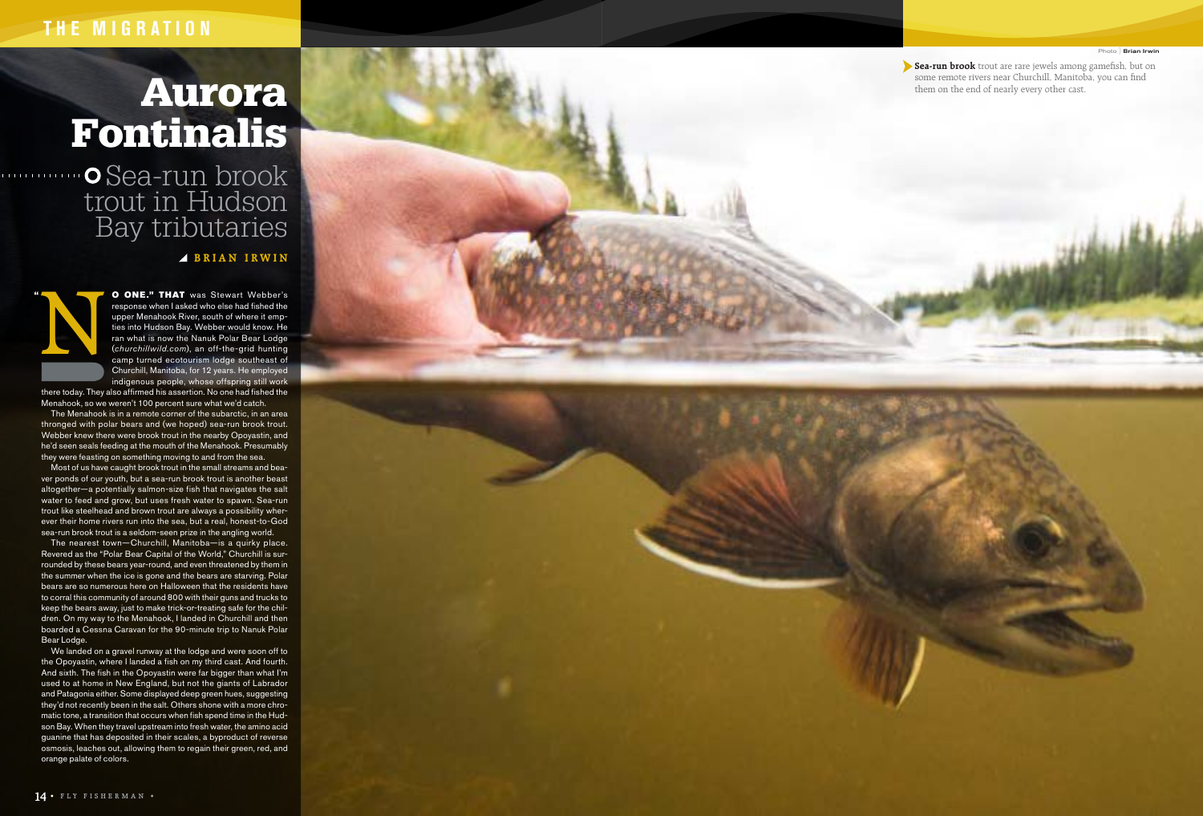## **THE MIGRATION**

#### Photo **Brian Irwin**

▶ Sea-run brook trout are rare jewels among gamefish, but on some remote rivers near Churchill, Manitoba, you can find them on the end of nearly every other cast.

# Aurora Fontinalis

Sea-run brook trout in Hudson Bay tributaries

### **BRIAN IRWIN**



**O ONE." THAT** was Stewart Webber's<br>response when lasked who else had fished the<br>upper Menahook River, south of where it emp-<br>ties into Hudson Bay. Webber would know. He<br>ran what is now the Nanuk Polar Bear Lodge<br>(*churchi* response when I asked who else had fished the upper Menahook River, south of where it emp ties into Hudson Bay. Webber would know. He ran what is now the Nanuk Polar Bear Lodge (*churchillwild.com*), an off-the-grid hunting camp turned ecotourism lodge southeast of Churchill, Manitoba, for 12 years. He employed indigenous people, whose offspring still work

there today. They also affirmed his assertion. No one had fished the Menahook, so we weren't 100 percent sure what we'd catch.

The Menahook is in a remote corner of the subarctic, in an area thronged with polar bears and (we hoped) sea-run brook trout. Webber knew there were brook trout in the nearby Opoyastin, and he'd seen seals feeding at the mouth of the Menahook. Presumably they were feasting on something moving to and from the sea.

Most of us have caught brook trout in the small streams and bea ver ponds of our youth, but a sea-run brook trout is another beast altogether—a potentially salmon-size fish that navigates the salt water to feed and grow, but uses fresh water to spawn. Sea-run trout like steelhead and brown trout are always a possibility wher ever their home rivers run into the sea, but a real, honest-to-God sea-run brook trout is a seldom-seen prize in the angling world.

The nearest town—Churchill, Manitoba—is a quirky place. Revered as the "Polar Bear Capital of the World," Churchill is sur rounded by these bears year-round, and even threatened by them in the summer when the ice is gone and the bears are starving. Polar bears are so numerous here on Halloween that the residents have to corral this community of around 800 with their guns and trucks to keep the bears away, just to make trick-or-treating safe for the chil dren. On my way to the Menahook, I landed in Churchill and then boarded a Cessna Caravan for the 90-minute trip to Nanuk Polar Bear Lodge.

We landed on a gravel runway at the lodge and were soon off to the Opoyastin, where I landed a fish on my third cast. And fourth. And sixth. The fish in the Opoyastin were far bigger than what I'm used to at home in New England, but not the giants of Labrador and Patagonia either. Some displayed deep green hues, suggesting they'd not recently been in the salt. Others shone with a more chro matic tone, a transition that occurs when fish spend time in the Hud son Bay. When they travel upstream into fresh water, the amino acid guanine that has deposited in their scales, a byproduct of reverse osmosis, leaches out, allowing them to regain their green, red, and orange palate of colors.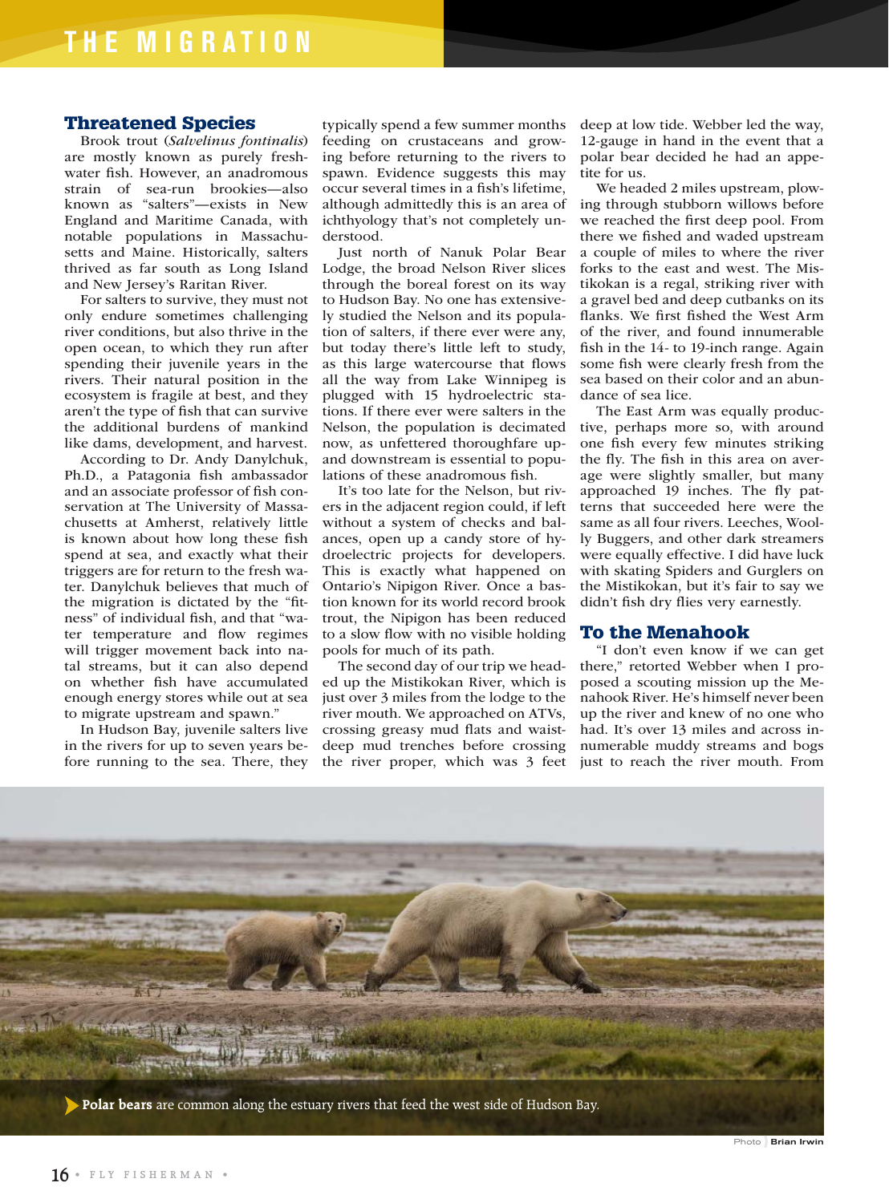#### Threatened Species

Brook trout (*Salvelinus fontinalis*) are mostly known as purely freshwater fish. However, an anadromous strain of sea-run brookies—also known as "salters"—exists in New England and Maritime Canada, with notable populations in Massachusetts and Maine. Historically, salters thrived as far south as Long Island and New Jersey's Raritan River.

For salters to survive, they must not only endure sometimes challenging river conditions, but also thrive in the open ocean, to which they run after spending their juvenile years in the rivers. Their natural position in the ecosystem is fragile at best, and they aren't the type of fish that can survive the additional burdens of mankind like dams, development, and harvest.

According to Dr. Andy Danylchuk, Ph.D., a Patagonia fish ambassador and an associate professor of fish conservation at The University of Massachusetts at Amherst, relatively little is known about how long these fish spend at sea, and exactly what their triggers are for return to the fresh water. Danylchuk believes that much of the migration is dictated by the "fitness" of individual fish, and that "water temperature and flow regimes will trigger movement back into natal streams, but it can also depend on whether fish have accumulated enough energy stores while out at sea to migrate upstream and spawn."

In Hudson Bay, juvenile salters live in the rivers for up to seven years before running to the sea. There, they typically spend a few summer months feeding on crustaceans and growing before returning to the rivers to spawn. Evidence suggests this may occur several times in a fish's lifetime, although admittedly this is an area of ichthyology that's not completely understood.

Just north of Nanuk Polar Bear Lodge, the broad Nelson River slices through the boreal forest on its way to Hudson Bay. No one has extensively studied the Nelson and its population of salters, if there ever were any, but today there's little left to study, as this large watercourse that flows all the way from Lake Winnipeg is plugged with 15 hydroelectric stations. If there ever were salters in the Nelson, the population is decimated now, as unfettered thoroughfare upand downstream is essential to populations of these anadromous fish.

It's too late for the Nelson, but rivers in the adjacent region could, if left without a system of checks and balances, open up a candy store of hydroelectric projects for developers. This is exactly what happened on Ontario's Nipigon River. Once a bastion known for its world record brook trout, the Nipigon has been reduced to a slow flow with no visible holding pools for much of its path.

The second day of our trip we headed up the Mistikokan River, which is just over 3 miles from the lodge to the river mouth. We approached on ATVs, crossing greasy mud flats and waistdeep mud trenches before crossing the river proper, which was 3 feet

deep at low tide. Webber led the way, 12-gauge in hand in the event that a polar bear decided he had an appetite for us.

We headed 2 miles upstream, plowing through stubborn willows before we reached the first deep pool. From there we fished and waded upstream a couple of miles to where the river forks to the east and west. The Mistikokan is a regal, striking river with a gravel bed and deep cutbanks on its flanks. We first fished the West Arm of the river, and found innumerable fish in the 14- to 19-inch range. Again some fish were clearly fresh from the sea based on their color and an abundance of sea lice.

The East Arm was equally productive, perhaps more so, with around one fish every few minutes striking the fly. The fish in this area on average were slightly smaller, but many approached 19 inches. The fly patterns that succeeded here were the same as all four rivers. Leeches, Woolly Buggers, and other dark streamers were equally effective. I did have luck with skating Spiders and Gurglers on the Mistikokan, but it's fair to say we didn't fish dry flies very earnestly.

#### To the Menahook

"I don't even know if we can get there," retorted Webber when I proposed a scouting mission up the Menahook River. He's himself never been up the river and knew of no one who had. It's over 13 miles and across innumerable muddy streams and bogs just to reach the river mouth. From



Photo **Brian Irwin**